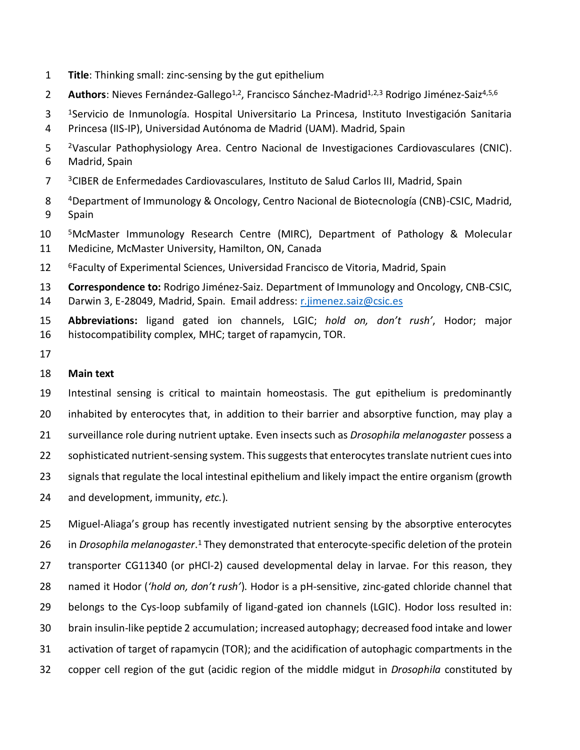- **Title**: Thinking small: zinc-sensing by the gut epithelium
- 2 **Authors**: Nieves Fernández-Gallego<sup>1,2</sup>, Francisco Sánchez-Madrid<sup>1,2,3</sup> Rodrigo Jiménez-Saiz<sup>4,5,6</sup>
- 3 <sup>1</sup> Servicio de Inmunología. Hospital Universitario La Princesa, Instituto Investigación Sanitaria Princesa (IIS-IP), Universidad Autónoma de Madrid (UAM). Madrid, Spain
- <sup>2</sup> Vascular Pathophysiology Area. Centro Nacional de Investigaciones Cardiovasculares (CNIC). Madrid, Spain
- <sup>3</sup> CIBER de Enfermedades Cardiovasculares, Instituto de Salud Carlos III, Madrid, Spain
- Department of Immunology & Oncology, Centro Nacional de Biotecnología (CNB)-CSIC, Madrid, Spain
- <sup>5</sup>McMaster Immunology Research Centre (MIRC), Department of Pathology & Molecular Medicine, McMaster University, Hamilton, ON, Canada
- 12 <sup>6</sup> Faculty of Experimental Sciences, Universidad Francisco de Vitoria, Madrid, Spain
- **Correspondence to:** Rodrigo Jiménez-Saiz. Department of Immunology and Oncology, CNB-CSIC, Darwin 3, E-28049, Madrid, Spain. Email address[: r.jimenez.saiz@csic.es](mailto:r.jimenez.saiz@csic.es)
- **Abbreviations:** ligand gated ion channels, LGIC; *hold on, don't rush'*, Hodor; major histocompatibility complex, MHC; target of rapamycin, TOR.
- 

## **Main text**

 Intestinal sensing is critical to maintain homeostasis. The gut epithelium is predominantly inhabited by enterocytes that, in addition to their barrier and absorptive function, may play a surveillance role during nutrient uptake. Even insects such as *Drosophila melanogaster* possess a 22 sophisticated nutrient-sensing system. This suggests that enterocytes translate nutrient cues into

- signals that regulate the local intestinal epithelium and likely impact the entire organism (growth
- and development, immunity, *etc.*).

 Miguel-Aliaga's group has recently investigated nutrient sensing by the absorptive enterocytes 26 in *Drosophila melanogaster*.<sup>1</sup> They demonstrated that enterocyte-specific deletion of the protein transporter CG11340 (or pHCl-2) caused developmental delay in larvae. For this reason, they named it Hodor (*'hold on, don't rush'*). Hodor is a pH-sensitive, zinc-gated chloride channel that belongs to the Cys-loop subfamily of ligand-gated ion channels (LGIC). Hodor loss resulted in: brain insulin-like peptide 2 accumulation; increased autophagy; decreased food intake and lower activation of target of rapamycin (TOR); and the acidification of autophagic compartments in the copper cell region of the gut (acidic region of the middle midgut in *Drosophila* constituted by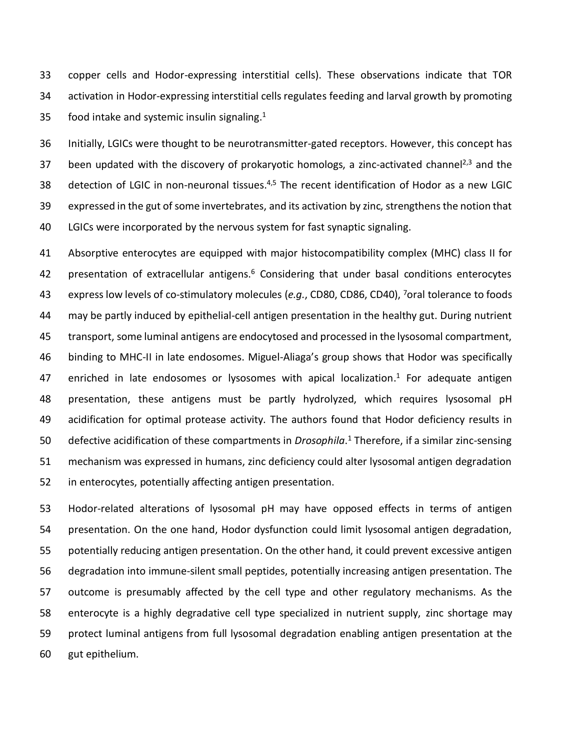copper cells and Hodor-expressing interstitial cells). These observations indicate that TOR activation in Hodor-expressing interstitial cells regulates feeding and larval growth by promoting 35 food intake and systemic insulin signaling.

 Initially, LGICs were thought to be neurotransmitter-gated receptors. However, this concept has 37 been updated with the discovery of prokaryotic homologs, a zinc-activated channel<sup>2,3</sup> and the 38 detection of LGIC in non-neuronal tissues.<sup>4,5</sup> The recent identification of Hodor as a new LGIC expressed in the gut of some invertebrates, and its activation by zinc, strengthens the notion that LGICs were incorporated by the nervous system for fast synaptic signaling.

 Absorptive enterocytes are equipped with major histocompatibility complex (MHC) class II for 42 presentation of extracellular antigens. Considering that under basal conditions enterocytes 43 express low levels of co-stimulatory molecules (*e.g.*, CD80, CD86, CD40), <sup>7</sup>oral tolerance to foods may be partly induced by epithelial-cell antigen presentation in the healthy gut. During nutrient transport, some luminal antigens are endocytosed and processed in the lysosomal compartment, binding to MHC-II in late endosomes. Miguel-Aliaga's group shows that Hodor was specifically 47 enriched in late endosomes or lysosomes with apical localization.<sup>1</sup> For adequate antigen presentation, these antigens must be partly hydrolyzed, which requires lysosomal pH acidification for optimal protease activity. The authors found that Hodor deficiency results in 50 defective acidification of these compartments in *Drosophila*.<sup>1</sup> Therefore, if a similar zinc-sensing mechanism was expressed in humans, zinc deficiency could alter lysosomal antigen degradation in enterocytes, potentially affecting antigen presentation.

 Hodor-related alterations of lysosomal pH may have opposed effects in terms of antigen presentation. On the one hand, Hodor dysfunction could limit lysosomal antigen degradation, potentially reducing antigen presentation. On the other hand, it could prevent excessive antigen degradation into immune-silent small peptides, potentially increasing antigen presentation. The outcome is presumably affected by the cell type and other regulatory mechanisms. As the enterocyte is a highly degradative cell type specialized in nutrient supply, zinc shortage may protect luminal antigens from full lysosomal degradation enabling antigen presentation at the gut epithelium.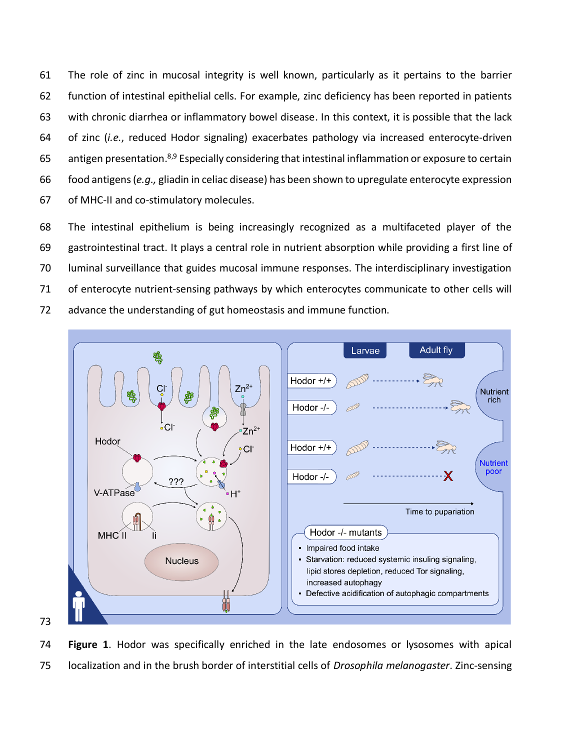The role of zinc in mucosal integrity is well known, particularly as it pertains to the barrier function of intestinal epithelial cells. For example, zinc deficiency has been reported in patients with chronic diarrhea or inflammatory bowel disease. In this context, it is possible that the lack of zinc (*i.e.*, reduced Hodor signaling) exacerbates pathology via increased enterocyte-driven 65 antigen presentation.<sup>8,9</sup> Especially considering that intestinal inflammation or exposure to certain food antigens (*e.g.,* gliadin in celiac disease) has been shown to upregulate enterocyte expression of MHC-II and co-stimulatory molecules.

 The intestinal epithelium is being increasingly recognized as a multifaceted player of the gastrointestinal tract. It plays a central role in nutrient absorption while providing a first line of luminal surveillance that guides mucosal immune responses. The interdisciplinary investigation 71 of enterocyte nutrient-sensing pathways by which enterocytes communicate to other cells will advance the understanding of gut homeostasis and immune function.



 **Figure 1**. Hodor was specifically enriched in the late endosomes or lysosomes with apical localization and in the brush border of interstitial cells of *Drosophila melanogaster*. Zinc-sensing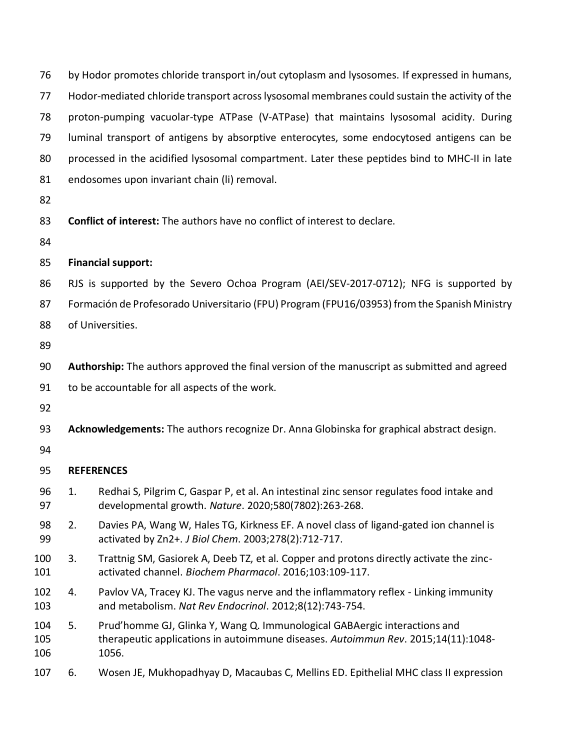| 76                | by Hodor promotes chloride transport in/out cytoplasm and lysosomes. If expressed in humans,   |                                                                                                                                                                         |
|-------------------|------------------------------------------------------------------------------------------------|-------------------------------------------------------------------------------------------------------------------------------------------------------------------------|
| 77                | Hodor-mediated chloride transport across lysosomal membranes could sustain the activity of the |                                                                                                                                                                         |
| 78                | proton-pumping vacuolar-type ATPase (V-ATPase) that maintains lysosomal acidity. During        |                                                                                                                                                                         |
| 79                | luminal transport of antigens by absorptive enterocytes, some endocytosed antigens can be      |                                                                                                                                                                         |
| 80                | processed in the acidified lysosomal compartment. Later these peptides bind to MHC-II in late  |                                                                                                                                                                         |
| 81                |                                                                                                | endosomes upon invariant chain (li) removal.                                                                                                                            |
| 82                |                                                                                                |                                                                                                                                                                         |
| 83                | Conflict of interest: The authors have no conflict of interest to declare.                     |                                                                                                                                                                         |
| 84                |                                                                                                |                                                                                                                                                                         |
| 85                | <b>Financial support:</b>                                                                      |                                                                                                                                                                         |
| 86                | RJS is supported by the Severo Ochoa Program (AEI/SEV-2017-0712); NFG is supported by          |                                                                                                                                                                         |
| 87                | Formación de Profesorado Universitario (FPU) Program (FPU16/03953) from the Spanish Ministry   |                                                                                                                                                                         |
| 88                | of Universities.                                                                               |                                                                                                                                                                         |
| 89                |                                                                                                |                                                                                                                                                                         |
| 90                | Authorship: The authors approved the final version of the manuscript as submitted and agreed   |                                                                                                                                                                         |
| 91                | to be accountable for all aspects of the work.                                                 |                                                                                                                                                                         |
| 92                |                                                                                                |                                                                                                                                                                         |
| 93                | Acknowledgements: The authors recognize Dr. Anna Globinska for graphical abstract design.      |                                                                                                                                                                         |
| 94                |                                                                                                |                                                                                                                                                                         |
| 95                | <b>REFERENCES</b>                                                                              |                                                                                                                                                                         |
| 96<br>97          | 1.                                                                                             | Redhai S, Pilgrim C, Gaspar P, et al. An intestinal zinc sensor regulates food intake and<br>developmental growth. Nature. 2020;580(7802):263-268.                      |
| 98<br>99          | 2.                                                                                             | Davies PA, Wang W, Hales TG, Kirkness EF. A novel class of ligand-gated ion channel is<br>activated by Zn2+. J Biol Chem. 2003;278(2):712-717.                          |
| 100<br>101        | 3.                                                                                             | Trattnig SM, Gasiorek A, Deeb TZ, et al. Copper and protons directly activate the zinc-<br>activated channel. Biochem Pharmacol. 2016;103:109-117.                      |
| 102<br>103        | 4.                                                                                             | Pavlov VA, Tracey KJ. The vagus nerve and the inflammatory reflex - Linking immunity<br>and metabolism. Nat Rev Endocrinol. 2012;8(12):743-754.                         |
| 104<br>105<br>106 | 5.                                                                                             | Prud'homme GJ, Glinka Y, Wang Q. Immunological GABAergic interactions and<br>therapeutic applications in autoimmune diseases. Autoimmun Rev. 2015;14(11):1048-<br>1056. |
| 107               | 6.                                                                                             | Wosen JE, Mukhopadhyay D, Macaubas C, Mellins ED. Epithelial MHC class II expression                                                                                    |
|                   |                                                                                                |                                                                                                                                                                         |